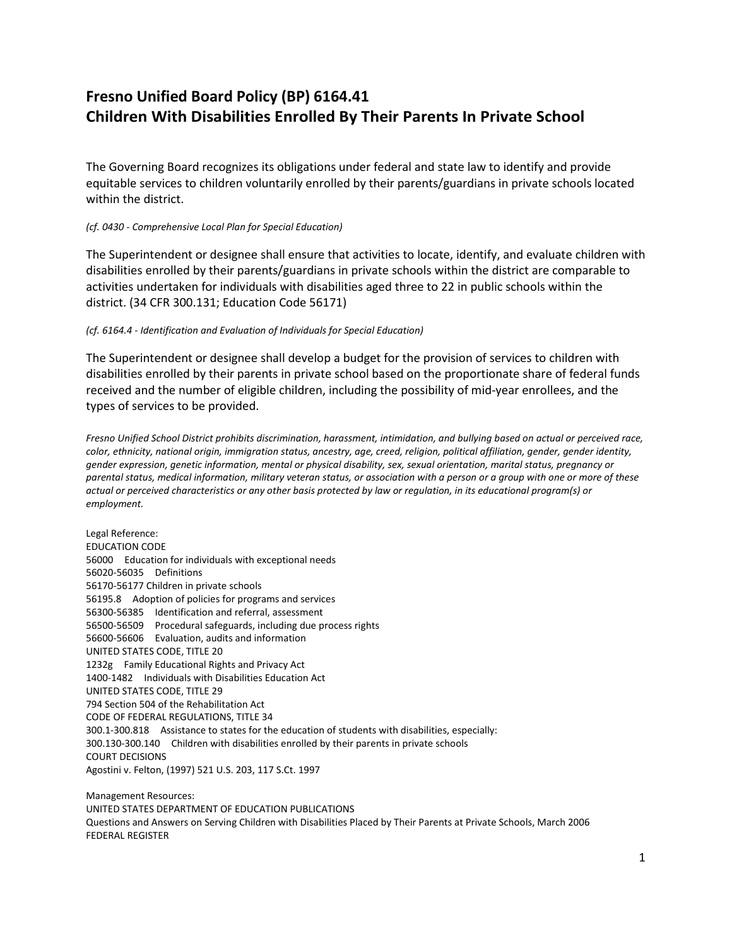## **Fresno Unified Board Policy (BP) 6164.41 Children With Disabilities Enrolled By Their Parents In Private School**

The Governing Board recognizes its obligations under federal and state law to identify and provide equitable services to children voluntarily enrolled by their parents/guardians in private schools located within the district.

## *(cf. 0430 - Comprehensive Local Plan for Special Education)*

The Superintendent or designee shall ensure that activities to locate, identify, and evaluate children with disabilities enrolled by their parents/guardians in private schools within the district are comparable to activities undertaken for individuals with disabilities aged three to 22 in public schools within the district. (34 CFR 300.131; Education Code 56171)

## *(cf. 6164.4 - Identification and Evaluation of Individuals for Special Education)*

The Superintendent or designee shall develop a budget for the provision of services to children with disabilities enrolled by their parents in private school based on the proportionate share of federal funds received and the number of eligible children, including the possibility of mid-year enrollees, and the types of services to be provided.

*Fresno Unified School District prohibits discrimination, harassment, intimidation, and bullying based on actual or perceived race, color, ethnicity, national origin, immigration status, ancestry, age, creed, religion, political affiliation, gender, gender identity, gender expression, genetic information, mental or physical disability, sex, sexual orientation, marital status, pregnancy or parental status, medical information, military veteran status, or association with a person or a group with one or more of these actual or perceived characteristics or any other basis protected by law or regulation, in its educational program(s) or employment.*

Legal Reference: EDUCATION CODE 56000 Education for individuals with exceptional needs 56020-56035 Definitions 56170-56177 Children in private schools 56195.8 Adoption of policies for programs and services 56300-56385 Identification and referral, assessment 56500-56509 Procedural safeguards, including due process rights 56600-56606 Evaluation, audits and information UNITED STATES CODE, TITLE 20 1232g Family Educational Rights and Privacy Act 1400-1482 Individuals with Disabilities Education Act UNITED STATES CODE, TITLE 29 794 Section 504 of the Rehabilitation Act CODE OF FEDERAL REGULATIONS, TITLE 34 300.1-300.818 Assistance to states for the education of students with disabilities, especially: 300.130-300.140 Children with disabilities enrolled by their parents in private schools COURT DECISIONS Agostini v. Felton, (1997) 521 U.S. 203, 117 S.Ct. 1997

Management Resources: UNITED STATES DEPARTMENT OF EDUCATION PUBLICATIONS Questions and Answers on Serving Children with Disabilities Placed by Their Parents at Private Schools, March 2006 FEDERAL REGISTER